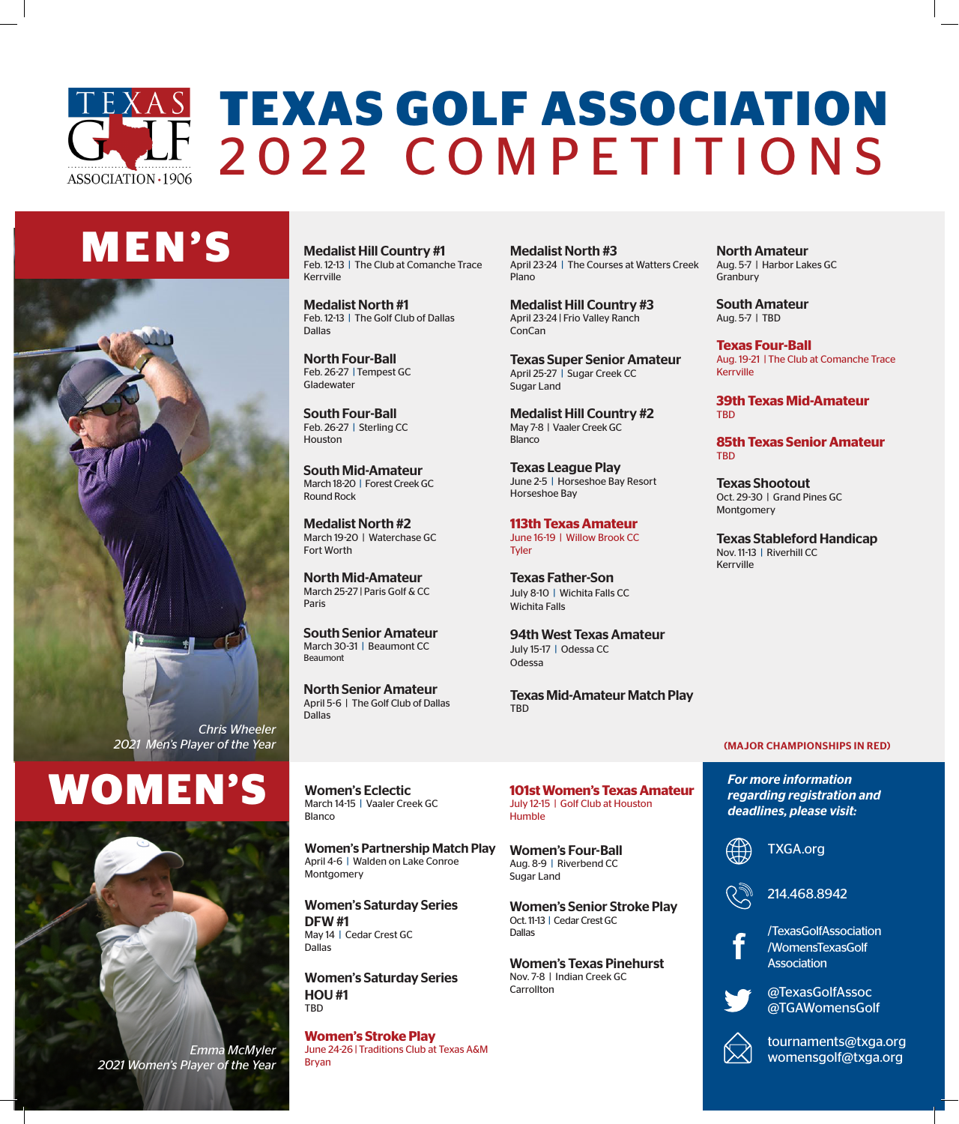### **TEXAS GOLF ASSOCIATION** 2022 COMPETITIONS ASSOCIATION · 1906

# **M E N ' S**



# **RENPS** Women's Eclectic **101st Women's Texas Amateur** For more information **Formation**



*Emma McMyler 2021 Women's Player of the Year* Medalist Hill Country #1 Feb. 12-13 | The Club at Comanche Trace Kerrville

Medalist North #1 Feb. 12-13 | The Golf Club of Dallas Dallas

North Four-Ball Feb. 26-27 | Tempest GC Gladewater

South Four-Ball Feb. 26-27 | Sterling CC **Houston** 

South Mid-Amateur March 18-20 | Forest Creek GC Round Rock

Medalist North #2 March 19-20 | Waterchase GC Fort Worth

North Mid-Amateur March 25-27 | Paris Golf & CC Paris

South Senior Amateur March 30-31 | Beaumont CC Beaumont

North Senior Amateur April 5-6 | The Golf Club of Dallas Dallas

Medalist North #3 April 23-24 | The Courses at Watters Creek Plano

Medalist Hill Country #3 April 23-24 | Frio Valley Ranch ConCan

Texas Super Senior Amateur April 25-27 | Sugar Creek CC Sugar Land

Medalist Hill Country #2 May 7-8 | Vaaler Creek GC **Blanco** 

Texas League Play June 2-5 | Horseshoe Bay Resort Horseshoe Bay

**113th Texas Amateur** June 16-19 | Willow Brook CC **Tyler** 

Texas Father-Son July 8-10 | Wichita Falls CC Wichita Falls

94th West Texas Amateur July 15-17 | Odessa CC Odessa

Texas Mid-Amateur Match Play **TRD** 

**101st Women's Texas Amateur**

North Amateur Aug. 5-7 | Harbor Lakes GC Granbury

South Amateur Aug. 5-7 | TBD

**Texas Four-Ball** Aug. 19-21 | The Club at Comanche Trace Kerrville

**39th Texas Mid-Amateur** TBD

**85th Texas Senior Amateur** TBD

Texas Shootout Oct. 29-30 | Grand Pines GC Montgomery

Texas Stableford Handicap Nov. 11-13 | Riverhill CC Kerrville

#### (MAJOR CHAMPIONSHIPS IN RED)

*For more information deadlines, please visit:*

TXGA.org



/TexasGolfAssociation



/WomensTexasGolf Association

@TexasGolfAssoc @TGAWomensGolf



tournaments@txga.org womensgolf@txga.org

#### Women's Eclectic March 14-15 | Vaaler Creek GC **Blanco**

Women's Partnership Match Play April 4-6 | Walden on Lake Conroe Montgomery

Women's Saturday Series DFW #1 May 14 | Cedar Crest GC Dallas

Women's Saturday Series HOU #1 TBD

**Women's Stroke Play**  June 24-26 | Traditions Club at Texas A&M Bryan

Women's Four-Ball Aug. 8-9 | Riverbend CC Sugar Land Women's Senior Stroke Play Oct. 11-13 | Cedar Crest GC

July 12-15 | Golf Club at Houston

Humble

Carrollton

Dallas Women's Texas Pinehurst Nov. 7-8 | Indian Creek GC